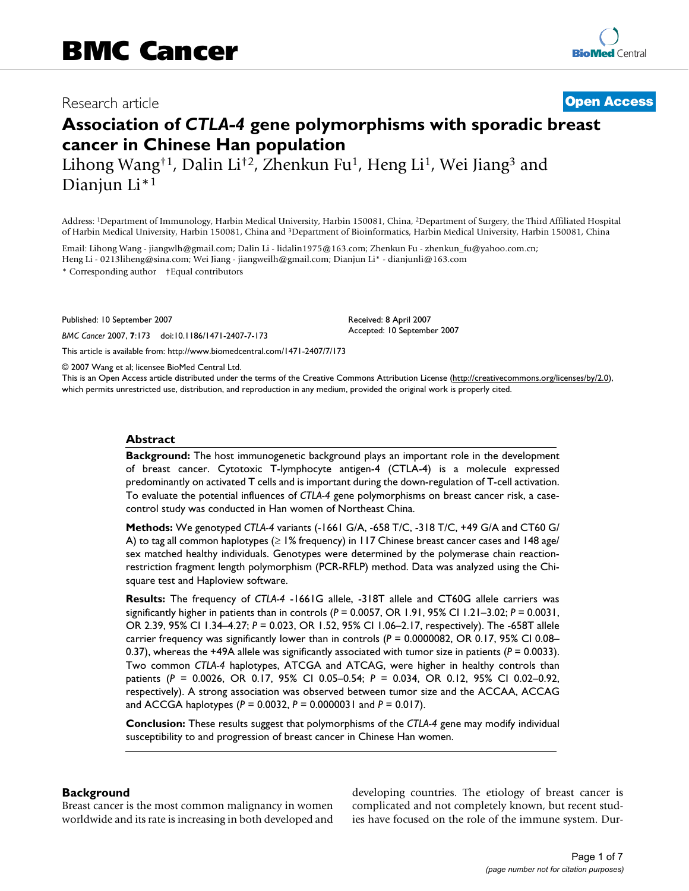# Research article **[Open Access](http://www.biomedcentral.com/info/about/charter/)**

# **Association of** *CTLA-4* **gene polymorphisms with sporadic breast cancer in Chinese Han population**

Lihong Wang<sup>†1</sup>, Dalin Li<sup>†2</sup>, Zhenkun Fu<sup>1</sup>, Heng Li<sup>1</sup>, Wei Jiang<sup>3</sup> and Dianjun Li\*1

Address: 1Department of Immunology, Harbin Medical University, Harbin 150081, China, 2Department of Surgery, the Third Affiliated Hospital of Harbin Medical University, Harbin 150081, China and 3Department of Bioinformatics, Harbin Medical University, Harbin 150081, China

Email: Lihong Wang - jiangwlh@gmail.com; Dalin Li - lidalin1975@163.com; Zhenkun Fu - zhenkun\_fu@yahoo.com.cn; Heng Li - 0213liheng@sina.com; Wei Jiang - jiangweilh@gmail.com; Dianjun Li\* - dianjunli@163.com

\* Corresponding author †Equal contributors

Published: 10 September 2007

*BMC Cancer* 2007, **7**:173 doi:10.1186/1471-2407-7-173

[This article is available from: http://www.biomedcentral.com/1471-2407/7/173](http://www.biomedcentral.com/1471-2407/7/173)

© 2007 Wang et al; licensee BioMed Central Ltd.

This is an Open Access article distributed under the terms of the Creative Commons Attribution License [\(http://creativecommons.org/licenses/by/2.0\)](http://creativecommons.org/licenses/by/2.0), which permits unrestricted use, distribution, and reproduction in any medium, provided the original work is properly cited.

Received: 8 April 2007 Accepted: 10 September 2007

#### **Abstract**

**Background:** The host immunogenetic background plays an important role in the development of breast cancer. Cytotoxic T-lymphocyte antigen-4 (CTLA-4) is a molecule expressed predominantly on activated T cells and is important during the down-regulation of T-cell activation. To evaluate the potential influences of *CTLA-4* gene polymorphisms on breast cancer risk, a casecontrol study was conducted in Han women of Northeast China.

**Methods:** We genotyped *CTLA-4* variants (-1661 G/A, -658 T/C, -318 T/C, +49 G/A and CT60 G/ A) to tag all common haplotypes (≥ 1% frequency) in 117 Chinese breast cancer cases and 148 age/ sex matched healthy individuals. Genotypes were determined by the polymerase chain reactionrestriction fragment length polymorphism (PCR-RFLP) method. Data was analyzed using the Chisquare test and Haploview software.

**Results:** The frequency of *CTLA-4* -1661G allele, -318T allele and CT60G allele carriers was significantly higher in patients than in controls (*P* = 0.0057, OR 1.91, 95% CI 1.21–3.02; *P* = 0.0031, OR 2.39, 95% CI 1.34–4.27; *P* = 0.023, OR 1.52, 95% CI 1.06–2.17, respectively). The -658T allele carrier frequency was significantly lower than in controls ( $P = 0.0000082$ , OR 0.17, 95% CI 0.08– 0.37), whereas the +49A allele was significantly associated with tumor size in patients ( $P = 0.0033$ ). Two common *CTLA-4* haplotypes, ATCGA and ATCAG, were higher in healthy controls than patients (*P* = 0.0026, OR 0.17, 95% CI 0.05–0.54; *P* = 0.034, OR 0.12, 95% CI 0.02–0.92, respectively). A strong association was observed between tumor size and the ACCAA, ACCAG and ACCGA haplotypes (*P* = 0.0032, *P* = 0.0000031 and *P* = 0.017).

**Conclusion:** These results suggest that polymorphisms of the *CTLA-4* gene may modify individual susceptibility to and progression of breast cancer in Chinese Han women.

#### **Background**

Breast cancer is the most common malignancy in women worldwide and its rate is increasing in both developed and developing countries. The etiology of breast cancer is complicated and not completely known, but recent studies have focused on the role of the immune system. Dur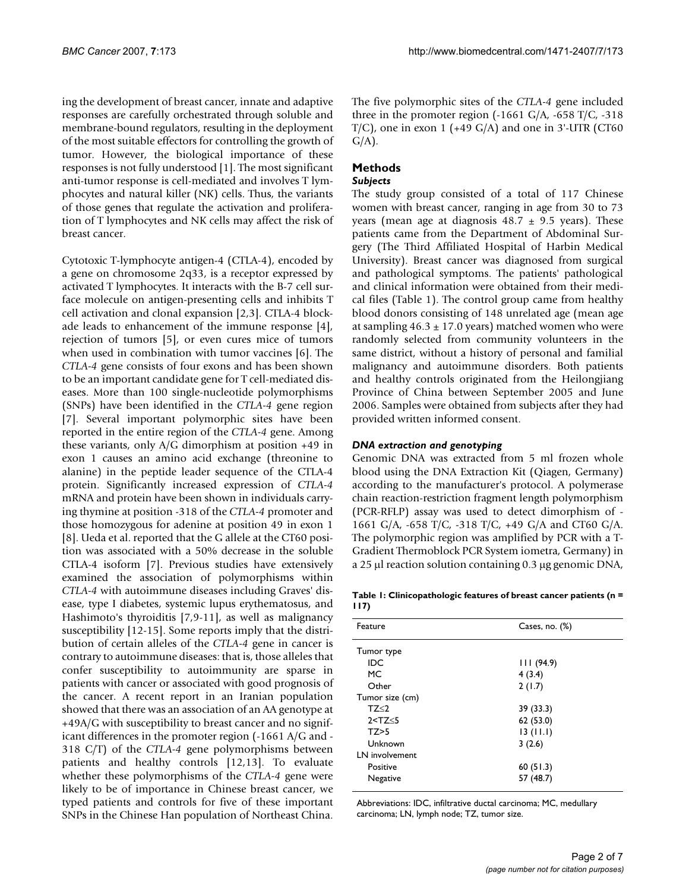ing the development of breast cancer, innate and adaptive responses are carefully orchestrated through soluble and membrane-bound regulators, resulting in the deployment of the most suitable effectors for controlling the growth of tumor. However, the biological importance of these responses is not fully understood [1]. The most significant anti-tumor response is cell-mediated and involves T lymphocytes and natural killer (NK) cells. Thus, the variants of those genes that regulate the activation and proliferation of T lymphocytes and NK cells may affect the risk of breast cancer.

Cytotoxic T-lymphocyte antigen-4 (CTLA-4), encoded by a gene on chromosome 2q33, is a receptor expressed by activated T lymphocytes. It interacts with the B-7 cell surface molecule on antigen-presenting cells and inhibits T cell activation and clonal expansion [2,3]. CTLA-4 blockade leads to enhancement of the immune response [4], rejection of tumors [5], or even cures mice of tumors when used in combination with tumor vaccines [6]. The *CTLA-4* gene consists of four exons and has been shown to be an important candidate gene for T cell-mediated diseases. More than 100 single-nucleotide polymorphisms (SNPs) have been identified in the *CTLA-4* gene region [7]. Several important polymorphic sites have been reported in the entire region of the *CTLA-4* gene. Among these variants, only A/G dimorphism at position +49 in exon 1 causes an amino acid exchange (threonine to alanine) in the peptide leader sequence of the CTLA-4 protein. Significantly increased expression of *CTLA-4* mRNA and protein have been shown in individuals carrying thymine at position -318 of the *CTLA-4* promoter and those homozygous for adenine at position 49 in exon 1 [8]. Ueda et al. reported that the G allele at the CT60 position was associated with a 50% decrease in the soluble CTLA-4 isoform [7]. Previous studies have extensively examined the association of polymorphisms within *CTLA-4* with autoimmune diseases including Graves' disease, type I diabetes, systemic lupus erythematosus, and Hashimoto's thyroiditis [7,9-11], as well as malignancy susceptibility [12-15]. Some reports imply that the distribution of certain alleles of the *CTLA-4* gene in cancer is contrary to autoimmune diseases: that is, those alleles that confer susceptibility to autoimmunity are sparse in patients with cancer or associated with good prognosis of the cancer. A recent report in an Iranian population showed that there was an association of an AA genotype at +49A/G with susceptibility to breast cancer and no significant differences in the promoter region (-1661 A/G and - 318 C/T) of the *CTLA-4* gene polymorphisms between patients and healthy controls [12,13]. To evaluate whether these polymorphisms of the *CTLA-4* gene were likely to be of importance in Chinese breast cancer, we typed patients and controls for five of these important SNPs in the Chinese Han population of Northeast China.

The five polymorphic sites of the *CTLA-4* gene included three in the promoter region  $(-1661 \text{ G/A}, -658 \text{ T/C}, -318)$  $T/C$ ), one in exon 1 (+49 G/A) and one in 3'-UTR (CT60)  $G/A$ ).

# **Methods**

## *Subjects*

The study group consisted of a total of 117 Chinese women with breast cancer, ranging in age from 30 to 73 years (mean age at diagnosis  $48.7 \pm 9.5$  years). These patients came from the Department of Abdominal Surgery (The Third Affiliated Hospital of Harbin Medical University). Breast cancer was diagnosed from surgical and pathological symptoms. The patients' pathological and clinical information were obtained from their medical files (Table 1). The control group came from healthy blood donors consisting of 148 unrelated age (mean age at sampling  $46.3 \pm 17.0$  years) matched women who were randomly selected from community volunteers in the same district, without a history of personal and familial malignancy and autoimmune disorders. Both patients and healthy controls originated from the Heilongjiang Province of China between September 2005 and June 2006. Samples were obtained from subjects after they had provided written informed consent.

#### *DNA extraction and genotyping*

Genomic DNA was extracted from 5 ml frozen whole blood using the DNA Extraction Kit (Qiagen, Germany) according to the manufacturer's protocol. A polymerase chain reaction-restriction fragment length polymorphism (PCR-RFLP) assay was used to detect dimorphism of - 1661 G/A, -658 T/C, -318 T/C, +49 G/A and CT60 G/A. The polymorphic region was amplified by PCR with a T-Gradient Thermoblock PCR System iometra, Germany) in a 25 µl reaction solution containing 0.3 µg genomic DNA,

**Table 1: Clinicopathologic features of breast cancer patients (n = 117)**

| Feature         | Cases, no. $(\%)$ |  |  |
|-----------------|-------------------|--|--|
| Tumor type      |                   |  |  |
| IDC             | 111(94.9)         |  |  |
| MC.             | 4(3.4)            |  |  |
| Other           | 2(1.7)            |  |  |
| Tumor size (cm) |                   |  |  |
| TZ <sub>2</sub> | 39 (33.3)         |  |  |
| 2 < TZ < 5      | 62 (53.0)         |  |  |
| TZ>5            | 13(11.1)          |  |  |
| Unknown         | 3(2.6)            |  |  |
| LN involvement  |                   |  |  |
| Positive        | 60(51.3)          |  |  |
| Negative        | 57 (48.7)         |  |  |

Abbreviations: IDC, infiltrative ductal carcinoma; MC, medullary carcinoma; LN, lymph node; TZ, tumor size.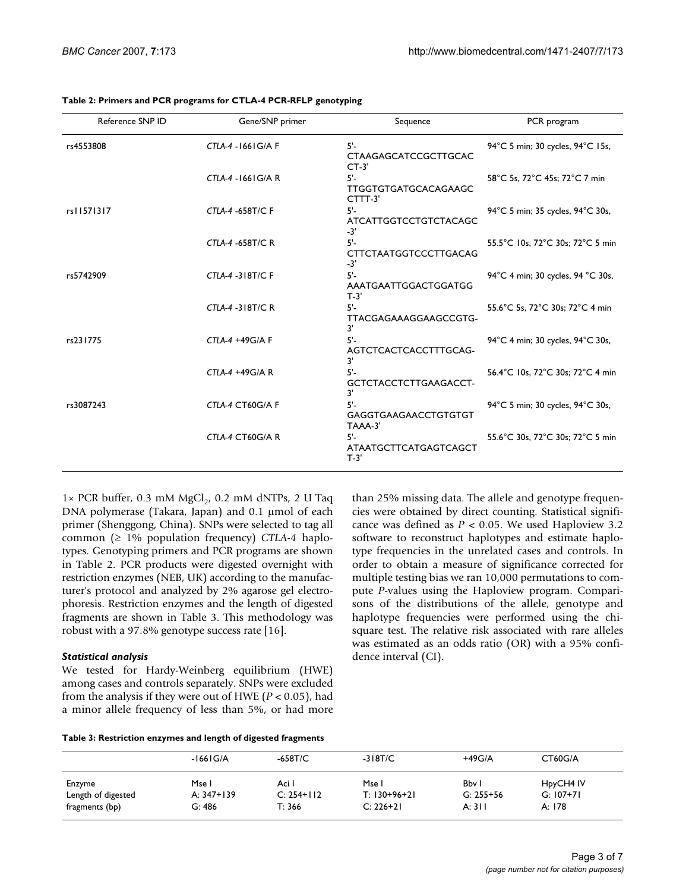| Reference SNP ID | Gene/SNP primer         | Sequence                                         | PCR program                       |
|------------------|-------------------------|--------------------------------------------------|-----------------------------------|
| rs4553808        | CTLA-4 -1661 G/A F      | $5'$ -<br><b>CTAAGAGCATCCGCTTGCAC</b><br>$CT-3'$ | 94°C 5 min; 30 cycles, 94°C 15s,  |
|                  | CTLA-4 -1661 G/A R      | $5^\circ$<br>TTGGTGTGATGCACAGAAGC<br>CTTT-3'     | 58°C 5s, 72°C 45s; 72°C 7 min     |
| rs11571317       | <b>CTLA-4 -658T/C F</b> | $5'$ -<br><b>ATCATTGGTCCTGTCTACAGC</b><br>$-3'$  | 94°C 5 min; 35 cycles, 94°C 30s,  |
|                  | CTLA-4 -658T/C R        | $5 -$<br><b>CTTCTAATGGTCCCTTGACAG</b><br>$-3'$   | 55.5°C 10s, 72°C 30s; 72°C 5 min  |
| rs5742909        | <b>CTLA-4 -318T/C F</b> | $5^{\circ}$<br>AAATGAATTGGACTGGATGG<br>$T-3'$    | 94°C 4 min; 30 cycles, 94 °C 30s, |
|                  | <b>CTLA-4 -318T/C R</b> | 5'-<br>TTACGAGAAAGGAAGCCGTG-<br>3'               | 55.6°C 5s, 72°C 30s; 72°C 4 min   |
| rs231775         | $CTLA-4 + 49G/A F$      | $5'$ -<br>AGTCTCACTCACCTTTGCAG-<br>3'            | 94°C 4 min; 30 cycles, 94°C 30s,  |
|                  | $CTLA-4 + 49G/A R$      | 5'-<br>GCTCTACCTCTTGAAGACCT-<br>3'               | 56.4°C 10s, 72°C 30s; 72°C 4 min  |
| rs3087243        | CTLA-4 CT60G/A F        | 5'-<br>GAGGTGAAGAACCTGTGTGT<br>TAAA-3'           | 94°C 5 min; 30 cycles, 94°C 30s,  |
|                  | CTLA-4 CT60G/A R        | $5 -$<br>ATAATGCTTCATGAGTCAGCT<br>$T-3'$         | 55.6°C 30s, 72°C 30s; 72°C 5 min  |

**Table 2: Primers and PCR programs for CTLA-4 PCR-RFLP genotyping**

 $1 \times$  PCR buffer, 0.3 mM MgCl<sub>2</sub>, 0.2 mM dNTPs, 2 U Taq DNA polymerase (Takara, Japan) and 0.1 µmol of each primer (Shenggong, China). SNPs were selected to tag all common (≥ 1% population frequency) *CTLA-4* haplotypes. Genotyping primers and PCR programs are shown in Table 2. PCR products were digested overnight with restriction enzymes (NEB, UK) according to the manufacturer's protocol and analyzed by 2% agarose gel electrophoresis. Restriction enzymes and the length of digested fragments are shown in Table 3. This methodology was robust with a 97.8% genotype success rate [16].

#### *Statistical analysis*

We tested for Hardy-Weinberg equilibrium (HWE) among cases and controls separately. SNPs were excluded from the analysis if they were out of HWE (*P* < 0.05), had a minor allele frequency of less than 5%, or had more than 25% missing data. The allele and genotype frequencies were obtained by direct counting. Statistical significance was defined as *P* < 0.05. We used Haploview 3.2 software to reconstruct haplotypes and estimate haplotype frequencies in the unrelated cases and controls. In order to obtain a measure of significance corrected for multiple testing bias we ran 10,000 permutations to compute *P-*values using the Haploview program. Comparisons of the distributions of the allele, genotype and haplotype frequencies were performed using the chisquare test. The relative risk associated with rare alleles was estimated as an odds ratio (OR) with a 95% confidence interval (CI).

#### **Table 3: Restriction enzymes and length of digested fragments**

|                    | $-1661$ G/A | $-658T/C$    | $-318T/C$      | $+49G/A$      | CT60G/A     |
|--------------------|-------------|--------------|----------------|---------------|-------------|
| Enzyme             | Mse I       | Aci I        | Mse l          | Bby I         | HpyCH4 IV   |
| Length of digested | A: 347+139  | $C: 254+112$ | $T: 130+96+21$ | $G: 255 + 56$ | $G: 107+71$ |
| fragments (bp)     | G: 486      | T: 366       | $C: 226 + 21$  | A: 311        | A: 178      |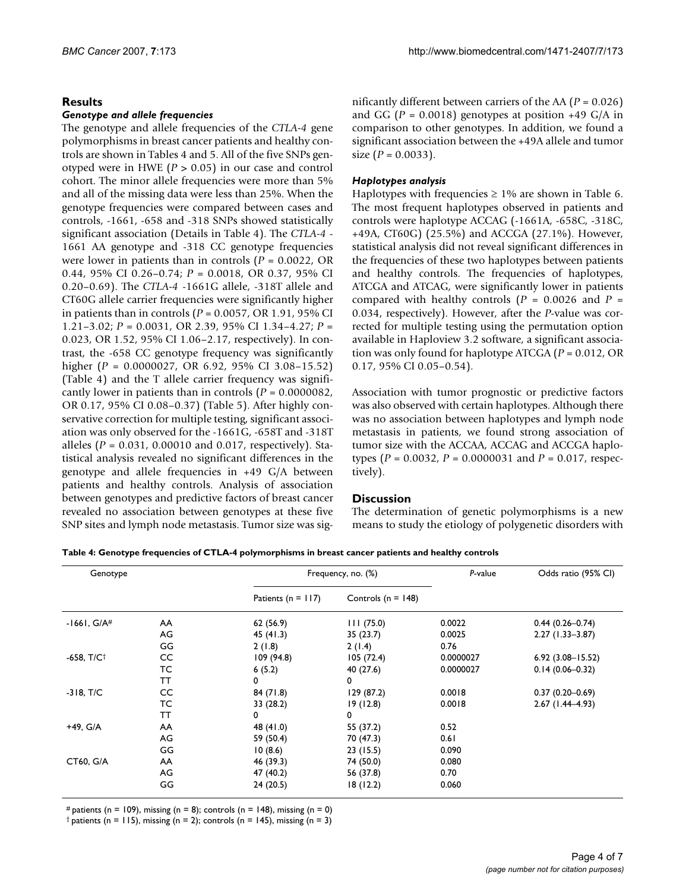### **Results**

#### *Genotype and allele frequencies*

The genotype and allele frequencies of the *CTLA-4* gene polymorphisms in breast cancer patients and healthy controls are shown in Tables 4 and 5. All of the five SNPs genotyped were in HWE (*P* > 0.05) in our case and control cohort. The minor allele frequencies were more than 5% and all of the missing data were less than 25%. When the genotype frequencies were compared between cases and controls, -1661, -658 and -318 SNPs showed statistically significant association (Details in Table 4). The *CTLA-4* - 1661 AA genotype and -318 CC genotype frequencies were lower in patients than in controls (*P* = 0.0022, OR 0.44, 95% CI 0.26–0.74; *P* = 0.0018, OR 0.37, 95% CI 0.20–0.69). The *CTLA-4* -1661G allele, -318T allele and CT60G allele carrier frequencies were significantly higher in patients than in controls (*P* = 0.0057, OR 1.91, 95% CI 1.21–3.02; *P* = 0.0031, OR 2.39, 95% CI 1.34–4.27; *P* = 0.023, OR 1.52, 95% CI 1.06–2.17, respectively). In contrast, the -658 CC genotype frequency was significantly higher (*P* = 0.0000027, OR 6.92, 95% CI 3.08–15.52) (Table 4) and the T allele carrier frequency was significantly lower in patients than in controls (*P* = 0.0000082, OR 0.17, 95% CI 0.08–0.37) (Table 5). After highly conservative correction for multiple testing, significant association was only observed for the -1661G, -658T and -318T alleles (*P* = 0.031, 0.00010 and 0.017, respectively). Statistical analysis revealed no significant differences in the genotype and allele frequencies in +49 G/A between patients and healthy controls. Analysis of association between genotypes and predictive factors of breast cancer revealed no association between genotypes at these five SNP sites and lymph node metastasis. Tumor size was significantly different between carriers of the AA (*P* = 0.026) and GG ( $P = 0.0018$ ) genotypes at position +49 G/A in comparison to other genotypes. In addition, we found a significant association between the +49A allele and tumor size  $(P = 0.0033)$ .

#### *Haplotypes analysis*

Haplotypes with frequencies  $\geq 1\%$  are shown in Table 6. The most frequent haplotypes observed in patients and controls were haplotype ACCAG (-1661A, -658C, -318C, +49A, CT60G) (25.5%) and ACCGA (27.1%). However, statistical analysis did not reveal significant differences in the frequencies of these two haplotypes between patients and healthy controls. The frequencies of haplotypes, ATCGA and ATCAG, were significantly lower in patients compared with healthy controls  $(P = 0.0026$  and  $P =$ 0.034, respectively). However, after the *P*-value was corrected for multiple testing using the permutation option available in Haploview 3.2 software, a significant association was only found for haplotype ATCGA (*P* = 0.012, OR 0.17, 95% CI 0.05–0.54).

Association with tumor prognostic or predictive factors was also observed with certain haplotypes. Although there was no association between haplotypes and lymph node metastasis in patients, we found strong association of tumor size with the ACCAA, ACCAG and ACCGA haplotypes (*P* = 0.0032, *P* = 0.0000031 and *P* = 0.017, respectively).

#### **Discussion**

The determination of genetic polymorphisms is a new means to study the etiology of polygenetic disorders with

| Table 4: Genotype frequencies of CTLA-4 polymorphisms in breast cancer patients and healthy controls |  |  |
|------------------------------------------------------------------------------------------------------|--|--|
|------------------------------------------------------------------------------------------------------|--|--|

| Genotype      |           |                        | Frequency, no. (%)     |           | Odds ratio (95% CI)  |  |
|---------------|-----------|------------------------|------------------------|-----------|----------------------|--|
|               |           | Patients ( $n = 117$ ) | Controls ( $n = 148$ ) |           |                      |  |
| $-1661, G/A#$ | AA        | 62 (56.9)              | 111(75.0)              | 0.0022    | $0.44(0.26 - 0.74)$  |  |
|               | AG        | 45 (41.3)              | 35(23.7)               | 0.0025    | $2.27(1.33 - 3.87)$  |  |
|               | GG        | 2(1.8)                 | 2(1.4)                 | 0.76      |                      |  |
| $-658, T/C†$  | CC        | 109(94.8)              | 105(72.4)              | 0.0000027 | $6.92(3.08 - 15.52)$ |  |
|               | TC        | 6(5.2)                 | 40 (27.6)              | 0.0000027 | $0.14(0.06 - 0.32)$  |  |
|               | ТT        | 0                      | 0                      |           |                      |  |
| $-318, T/C$   | CC        | 84(71.8)               | 129(87.2)              | 0.0018    | $0.37(0.20 - 0.69)$  |  |
|               | ТC        | 33 (28.2)              | 19(12.8)               | 0.0018    | $2.67(1.44 - 4.93)$  |  |
|               | <b>TT</b> | 0                      | 0                      |           |                      |  |
| +49, G/A      | AA        | 48 (41.0)              | 55 (37.2)              | 0.52      |                      |  |
|               | AG        | 59 (50.4)              | 70 (47.3)              | 0.61      |                      |  |
|               | GG        | 10(8.6)                | 23(15.5)               | 0.090     |                      |  |
| CT60, G/A     | AA        | 46 (39.3)              | 74 (50.0)              | 0.080     |                      |  |
|               | AG        | 47 (40.2)              | 56 (37.8)              | 0.70      |                      |  |
|               | GG        | 24(20.5)               | 18(12.2)               | 0.060     |                      |  |

# patients (n = 109), missing (n = 8); controls (n = 148), missing (n = 0)

 $\dagger$  patients (n = 115), missing (n = 2); controls (n = 145), missing (n = 3)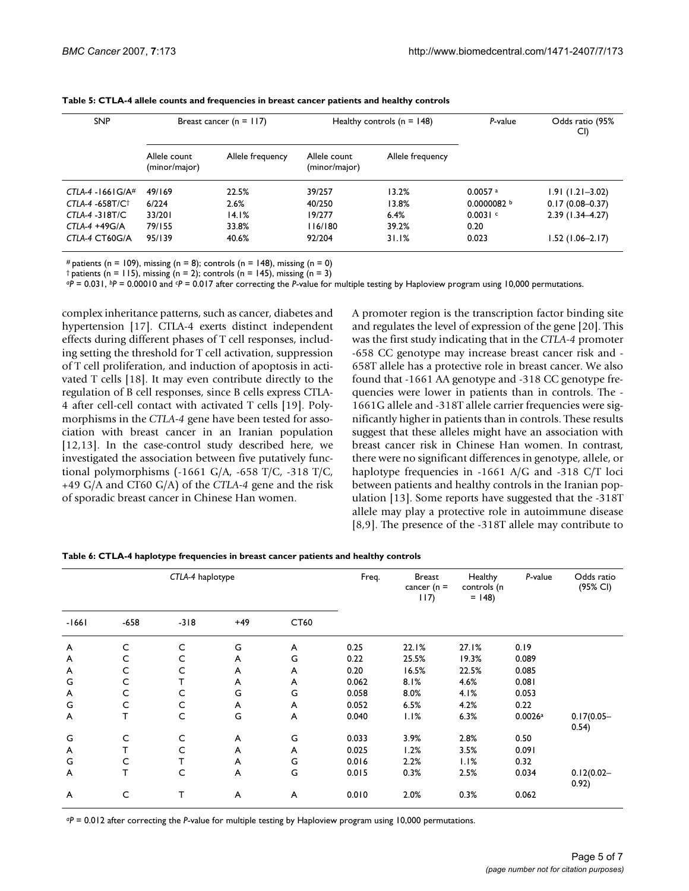| <b>SNP</b>           | Breast cancer ( $n = 117$ )   |                  | Healthy controls $(n = 148)$  |                  | P-value                | Odds ratio (95%<br>CI) |
|----------------------|-------------------------------|------------------|-------------------------------|------------------|------------------------|------------------------|
|                      | Allele count<br>(minor/major) | Allele frequency | Allele count<br>(minor/major) | Allele frequency |                        |                        |
| $CTLA-4 - 1661G/A$ # | 49/169                        | 22.5%            | 39/257                        | 13.2%            | $0.0057$ <sup>a</sup>  | $1.91(1.21 - 3.02)$    |
| $CTLA-4 -658T/C^+$   | 6/224                         | 2.6%             | 40/250                        | 13.8%            | 0.0000082 <sup>b</sup> | $0.17(0.08 - 0.37)$    |
| $CTLA-4 - 318T/C$    | 33/201                        | 14.1%            | 19/277                        | 6.4%             | 0.0031c                | $2.39$ (1.34-4.27)     |
| CTI A-4 $+49$ G/A    | 79/155                        | 33.8%            | 116/180                       | 39.2%            | 0.20                   |                        |
| CTLA-4 CT60G/A       | 95/139                        | 40.6%            | 92/204                        | 31.1%            | 0.023                  | $1.52(1.06 - 2.17)$    |

**Table 5: CTLA-4 allele counts and frequencies in breast cancer patients and healthy controls**

# patients (n = 109), missing (n = 8); controls (n = 148), missing (n = 0)  $\dagger$  patients (n = 115), missing (n = 2); controls (n = 145), missing (n = 3)

*aP* = 0.031, *bP* = 0.00010 and *cP* = 0.017 after correcting the *P*-value for multiple testing by Haploview program using 10,000 permutations.

complex inheritance patterns, such as cancer, diabetes and hypertension [17]. CTLA-4 exerts distinct independent effects during different phases of T cell responses, including setting the threshold for T cell activation, suppression of T cell proliferation, and induction of apoptosis in activated T cells [18]. It may even contribute directly to the regulation of B cell responses, since B cells express CTLA-4 after cell-cell contact with activated T cells [19]. Polymorphisms in the *CTLA-4* gene have been tested for association with breast cancer in an Iranian population [12,13]. In the case-control study described here, we investigated the association between five putatively functional polymorphisms (-1661 G/A, -658 T/C, -318 T/C, +49 G/A and CT60 G/A) of the *CTLA-4* gene and the risk of sporadic breast cancer in Chinese Han women.

A promoter region is the transcription factor binding site and regulates the level of expression of the gene [20]. This was the first study indicating that in the *CTLA-4* promoter -658 CC genotype may increase breast cancer risk and - 658T allele has a protective role in breast cancer. We also found that -1661 AA genotype and -318 CC genotype frequencies were lower in patients than in controls. The - 1661G allele and -318T allele carrier frequencies were significantly higher in patients than in controls. These results suggest that these alleles might have an association with breast cancer risk in Chinese Han women. In contrast, there were no significant differences in genotype, allele, or haplotype frequencies in -1661 A/G and -318 C/T loci between patients and healthy controls in the Iranian population [13]. Some reports have suggested that the -318T allele may play a protective role in autoimmune disease [8,9]. The presence of the -318T allele may contribute to

| CTLA-4 haplotype |        |        | Freq. | <b>Breast</b><br>cancer ( $n =$<br>117) | Healthy<br>controls (n<br>$= 148$ | P-value | Odds ratio<br>(95% CI) |         |                        |
|------------------|--------|--------|-------|-----------------------------------------|-----------------------------------|---------|------------------------|---------|------------------------|
| $-1661$          | $-658$ | $-318$ | $+49$ | CT60                                    |                                   |         |                        |         |                        |
| A                | C      | C      | G     | A                                       | 0.25                              | 22.1%   | 27.1%                  | 0.19    |                        |
| A                | C      | C      | A     | G                                       | 0.22                              | 25.5%   | 19.3%                  | 0.089   |                        |
| A                | C      | С      | A     | A                                       | 0.20                              | 16.5%   | 22.5%                  | 0.085   |                        |
| G                | С      | т      | A     | A                                       | 0.062                             | 8.1%    | 4.6%                   | 0.081   |                        |
| A                | С      | С      | G     | G                                       | 0.058                             | 8.0%    | 4.1%                   | 0.053   |                        |
| G                | C      | C      | A     | A                                       | 0.052                             | 6.5%    | 4.2%                   | 0.22    |                        |
| A                | т      | C      | G     | A                                       | 0.040                             | 1.1%    | 6.3%                   | 0.0026a | $0.17(0.05 -$<br>0.54) |
| G                | C      | C      | A     | G                                       | 0.033                             | 3.9%    | 2.8%                   | 0.50    |                        |
| A                |        | С      | A     | A                                       | 0.025                             | 1.2%    | 3.5%                   | 0.091   |                        |
| G                | C      | T      | A     | G                                       | 0.016                             | 2.2%    | 1.1%                   | 0.32    |                        |
| A                | T      | C      | A     | G                                       | 0.015                             | 0.3%    | 2.5%                   | 0.034   | $0.12(0.02 -$<br>0.92) |
| A                | С      | т      | A     | A                                       | 0.010                             | 2.0%    | 0.3%                   | 0.062   |                        |

**Table 6: CTLA-4 haplotype frequencies in breast cancer patients and healthy controls**

*aP* = 0.012 after correcting the *P*-value for multiple testing by Haploview program using 10,000 permutations.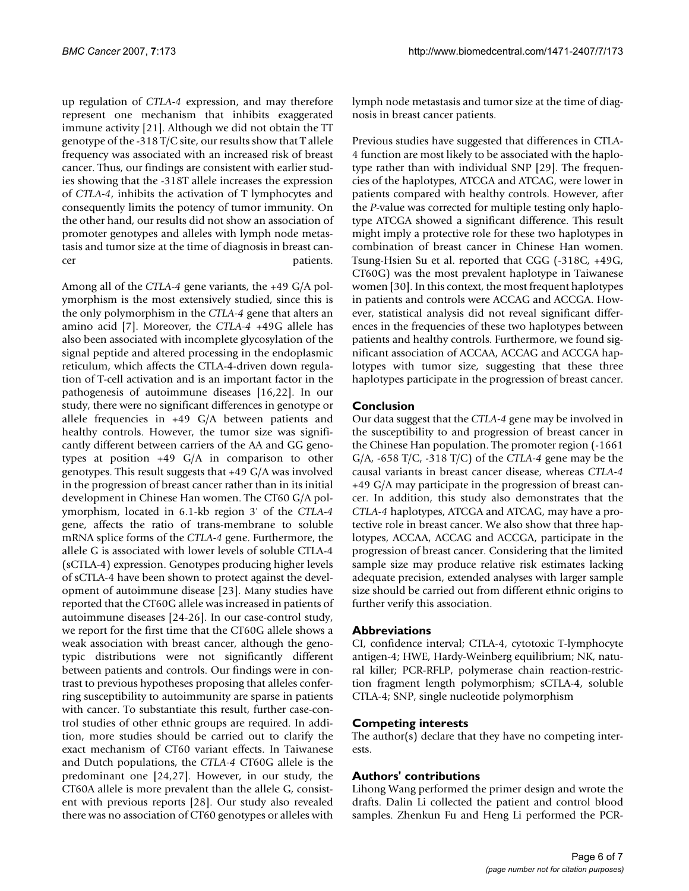up regulation of *CTLA-4* expression, and may therefore represent one mechanism that inhibits exaggerated immune activity [21]. Although we did not obtain the TT genotype of the -318 T/C site, our results show that T allele frequency was associated with an increased risk of breast cancer. Thus, our findings are consistent with earlier studies showing that the -318T allele increases the expression of *CTLA-4*, inhibits the activation of T lymphocytes and consequently limits the potency of tumor immunity. On the other hand, our results did not show an association of promoter genotypes and alleles with lymph node metastasis and tumor size at the time of diagnosis in breast cancer patients.

Among all of the *CTLA-4* gene variants, the +49 G/A polymorphism is the most extensively studied, since this is the only polymorphism in the *CTLA-4* gene that alters an amino acid [7]. Moreover, the *CTLA-4* +49G allele has also been associated with incomplete glycosylation of the signal peptide and altered processing in the endoplasmic reticulum, which affects the CTLA-4-driven down regulation of T-cell activation and is an important factor in the pathogenesis of autoimmune diseases [16,22]. In our study, there were no significant differences in genotype or allele frequencies in +49 G/A between patients and healthy controls. However, the tumor size was significantly different between carriers of the AA and GG genotypes at position +49 G/A in comparison to other genotypes. This result suggests that +49 G/A was involved in the progression of breast cancer rather than in its initial development in Chinese Han women. The CT60 G/A polymorphism, located in 6.1-kb region 3' of the *CTLA-4* gene, affects the ratio of trans-membrane to soluble mRNA splice forms of the *CTLA-4* gene. Furthermore, the allele G is associated with lower levels of soluble CTLA-4 (sCTLA-4) expression. Genotypes producing higher levels of sCTLA-4 have been shown to protect against the development of autoimmune disease [23]. Many studies have reported that the CT60G allele was increased in patients of autoimmune diseases [24-26]. In our case-control study, we report for the first time that the CT60G allele shows a weak association with breast cancer, although the genotypic distributions were not significantly different between patients and controls. Our findings were in contrast to previous hypotheses proposing that alleles conferring susceptibility to autoimmunity are sparse in patients with cancer. To substantiate this result, further case-control studies of other ethnic groups are required. In addition, more studies should be carried out to clarify the exact mechanism of CT60 variant effects. In Taiwanese and Dutch populations, the *CTLA-4* CT60G allele is the predominant one [24,27]. However, in our study, the CT60A allele is more prevalent than the allele G, consistent with previous reports [28]. Our study also revealed there was no association of CT60 genotypes or alleles with

lymph node metastasis and tumor size at the time of diagnosis in breast cancer patients.

Previous studies have suggested that differences in CTLA-4 function are most likely to be associated with the haplotype rather than with individual SNP [29]. The frequencies of the haplotypes, ATCGA and ATCAG, were lower in patients compared with healthy controls. However, after the *P*-value was corrected for multiple testing only haplotype ATCGA showed a significant difference. This result might imply a protective role for these two haplotypes in combination of breast cancer in Chinese Han women. Tsung-Hsien Su et al. reported that CGG (-318C, +49G, CT60G) was the most prevalent haplotype in Taiwanese women [30]. In this context, the most frequent haplotypes in patients and controls were ACCAG and ACCGA. However, statistical analysis did not reveal significant differences in the frequencies of these two haplotypes between patients and healthy controls. Furthermore, we found significant association of ACCAA, ACCAG and ACCGA haplotypes with tumor size, suggesting that these three haplotypes participate in the progression of breast cancer.

## **Conclusion**

Our data suggest that the *CTLA-4* gene may be involved in the susceptibility to and progression of breast cancer in the Chinese Han population. The promoter region (-1661 G/A, -658 T/C, -318 T/C) of the *CTLA-4* gene may be the causal variants in breast cancer disease, whereas *CTLA-4* +49 G/A may participate in the progression of breast cancer. In addition, this study also demonstrates that the *CTLA-4* haplotypes, ATCGA and ATCAG, may have a protective role in breast cancer. We also show that three haplotypes, ACCAA, ACCAG and ACCGA, participate in the progression of breast cancer. Considering that the limited sample size may produce relative risk estimates lacking adequate precision, extended analyses with larger sample size should be carried out from different ethnic origins to further verify this association.

#### **Abbreviations**

CI, confidence interval; CTLA-4, cytotoxic T-lymphocyte antigen-4; HWE, Hardy-Weinberg equilibrium; NK, natural killer; PCR-RFLP, polymerase chain reaction-restriction fragment length polymorphism; sCTLA-4, soluble CTLA-4; SNP, single nucleotide polymorphism

#### **Competing interests**

The author(s) declare that they have no competing interests.

#### **Authors' contributions**

Lihong Wang performed the primer design and wrote the drafts. Dalin Li collected the patient and control blood samples. Zhenkun Fu and Heng Li performed the PCR-